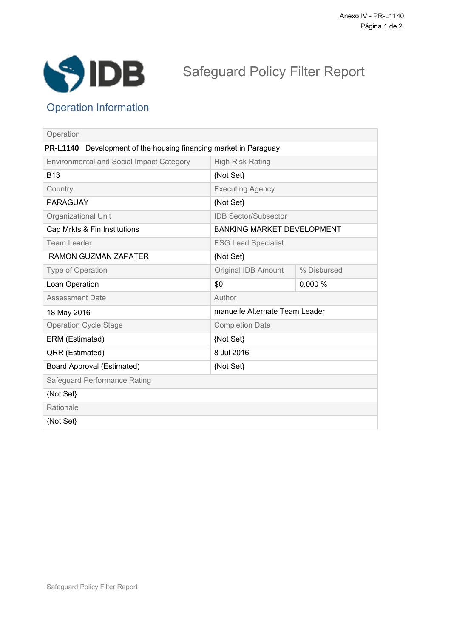

## Safeguard Policy Filter Report

## Operation Information

| <b>PR-L1140</b><br>Development of the housing financing market in Paraguay |             |  |
|----------------------------------------------------------------------------|-------------|--|
| <b>High Risk Rating</b>                                                    |             |  |
| {Not Set}                                                                  |             |  |
| <b>Executing Agency</b>                                                    |             |  |
| {Not Set}                                                                  |             |  |
| <b>IDB Sector/Subsector</b>                                                |             |  |
| <b>BANKING MARKET DEVELOPMENT</b>                                          |             |  |
| <b>ESG Lead Specialist</b>                                                 |             |  |
| {Not Set}                                                                  |             |  |
| Original IDB Amount                                                        | % Disbursed |  |
| \$0                                                                        | 0.000%      |  |
| Author                                                                     |             |  |
| manuelfe Alternate Team Leader                                             |             |  |
| <b>Completion Date</b>                                                     |             |  |
| {Not Set}                                                                  |             |  |
| 8 Jul 2016                                                                 |             |  |
| {Not Set}                                                                  |             |  |
| Safeguard Performance Rating                                               |             |  |
| {Not Set}                                                                  |             |  |
| Rationale                                                                  |             |  |
| {Not Set}                                                                  |             |  |
|                                                                            |             |  |